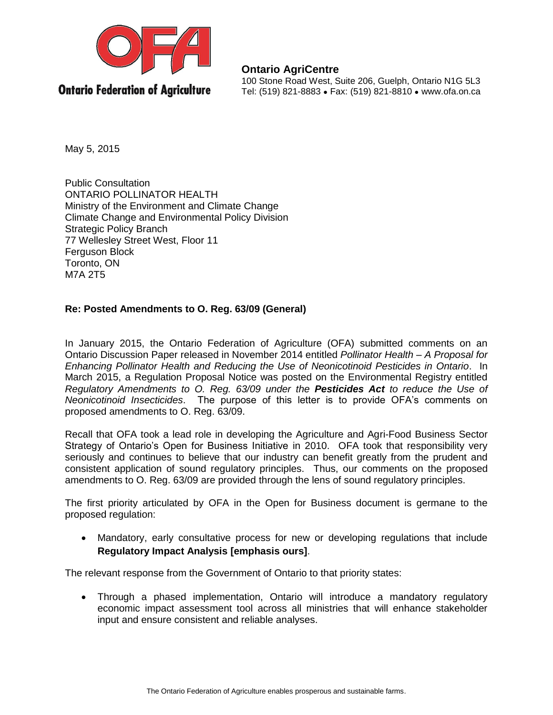

**Ontario AgriCentre** 100 Stone Road West, Suite 206, Guelph, Ontario N1G 5L3 Tel: (519) 821-8883 ● Fax: (519) 821-8810 ● www.ofa.on.ca

May 5, 2015

Public Consultation ONTARIO POLLINATOR HEALTH Ministry of the Environment and Climate Change Climate Change and Environmental Policy Division Strategic Policy Branch 77 Wellesley Street West, Floor 11 Ferguson Block Toronto, ON M7A 2T5

## **Re: Posted Amendments to O. Reg. 63/09 (General)**

In January 2015, the Ontario Federation of Agriculture (OFA) submitted comments on an Ontario Discussion Paper released in November 2014 entitled *Pollinator Health – A Proposal for Enhancing Pollinator Health and Reducing the Use of Neonicotinoid Pesticides in Ontario*. In March 2015, a Regulation Proposal Notice was posted on the Environmental Registry entitled *Regulatory Amendments to O. Reg. 63/09 under the Pesticides Act to reduce the Use of Neonicotinoid Insecticides*. The purpose of this letter is to provide OFA's comments on proposed amendments to O. Reg. 63/09.

Recall that OFA took a lead role in developing the Agriculture and Agri-Food Business Sector Strategy of Ontario's Open for Business Initiative in 2010. OFA took that responsibility very seriously and continues to believe that our industry can benefit greatly from the prudent and consistent application of sound regulatory principles. Thus, our comments on the proposed amendments to O. Reg. 63/09 are provided through the lens of sound regulatory principles.

The first priority articulated by OFA in the Open for Business document is germane to the proposed regulation:

 Mandatory, early consultative process for new or developing regulations that include **Regulatory Impact Analysis [emphasis ours]**.

The relevant response from the Government of Ontario to that priority states:

 Through a phased implementation, Ontario will introduce a mandatory regulatory economic impact assessment tool across all ministries that will enhance stakeholder input and ensure consistent and reliable analyses.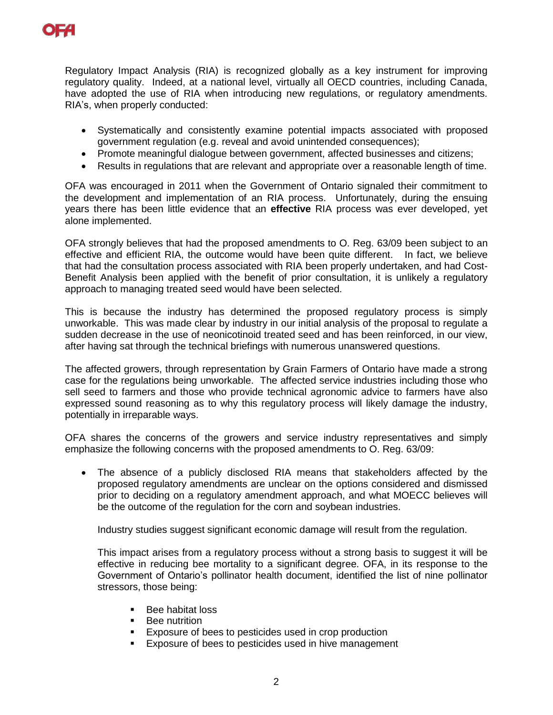

Regulatory Impact Analysis (RIA) is recognized globally as a key instrument for improving regulatory quality. Indeed, at a national level, virtually all OECD countries, including Canada, have adopted the use of RIA when introducing new regulations, or regulatory amendments. RIA's, when properly conducted:

- Systematically and consistently examine potential impacts associated with proposed government regulation (e.g. reveal and avoid unintended consequences);
- Promote meaningful dialogue between government, affected businesses and citizens;
- Results in regulations that are relevant and appropriate over a reasonable length of time.

OFA was encouraged in 2011 when the Government of Ontario signaled their commitment to the development and implementation of an RIA process. Unfortunately, during the ensuing years there has been little evidence that an **effective** RIA process was ever developed, yet alone implemented.

OFA strongly believes that had the proposed amendments to O. Reg. 63/09 been subject to an effective and efficient RIA, the outcome would have been quite different. In fact, we believe that had the consultation process associated with RIA been properly undertaken, and had Cost-Benefit Analysis been applied with the benefit of prior consultation, it is unlikely a regulatory approach to managing treated seed would have been selected.

This is because the industry has determined the proposed regulatory process is simply unworkable. This was made clear by industry in our initial analysis of the proposal to regulate a sudden decrease in the use of neonicotinoid treated seed and has been reinforced, in our view, after having sat through the technical briefings with numerous unanswered questions.

The affected growers, through representation by Grain Farmers of Ontario have made a strong case for the regulations being unworkable. The affected service industries including those who sell seed to farmers and those who provide technical agronomic advice to farmers have also expressed sound reasoning as to why this regulatory process will likely damage the industry, potentially in irreparable ways.

OFA shares the concerns of the growers and service industry representatives and simply emphasize the following concerns with the proposed amendments to O. Reg. 63/09:

 The absence of a publicly disclosed RIA means that stakeholders affected by the proposed regulatory amendments are unclear on the options considered and dismissed prior to deciding on a regulatory amendment approach, and what MOECC believes will be the outcome of the regulation for the corn and soybean industries.

Industry studies suggest significant economic damage will result from the regulation.

This impact arises from a regulatory process without a strong basis to suggest it will be effective in reducing bee mortality to a significant degree. OFA, in its response to the Government of Ontario's pollinator health document, identified the list of nine pollinator stressors, those being:

- Bee habitat loss<br>■ Bee nutrition
- Bee nutrition
- **Exposure of bees to pesticides used in crop production**
- **Exposure of bees to pesticides used in hive management**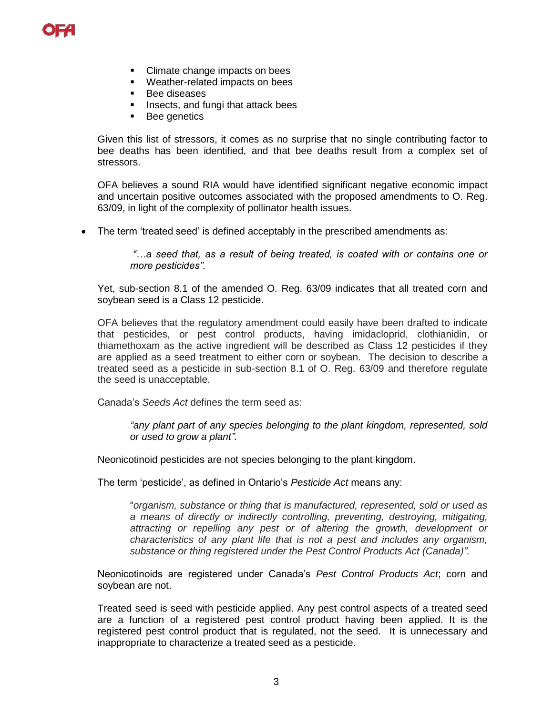

- Climate change impacts on bees
- Weather-related impacts on bees
- **Bee diseases**
- **Insects, and fungi that attack bees**
- **Bee genetics**

Given this list of stressors, it comes as no surprise that no single contributing factor to bee deaths has been identified, and that bee deaths result from a complex set of stressors.

OFA believes a sound RIA would have identified significant negative economic impact and uncertain positive outcomes associated with the proposed amendments to O. Reg. 63/09, in light of the complexity of pollinator health issues.

The term 'treated seed' is defined acceptably in the prescribed amendments as:

*"…a seed that, as a result of being treated, is coated with or contains one or more pesticides".*

Yet, sub-section 8.1 of the amended O. Reg. 63/09 indicates that all treated corn and soybean seed is a Class 12 pesticide.

OFA believes that the regulatory amendment could easily have been drafted to indicate that pesticides, or pest control products, having imidacloprid, clothianidin, or thiamethoxam as the active ingredient will be described as Class 12 pesticides if they are applied as a seed treatment to either corn or soybean. The decision to describe a treated seed as a pesticide in sub-section 8.1 of O. Reg. 63/09 and therefore regulate the seed is unacceptable.

Canada's *Seeds Act* defines the term seed as:

*"any plant part of any species belonging to the plant kingdom, represented, sold or used to grow a plant".*

Neonicotinoid pesticides are not species belonging to the plant kingdom.

The term 'pesticide', as defined in Ontario's *Pesticide Act* means any:

"*organism, substance or thing that is manufactured, represented, sold or used as a means of directly or indirectly controlling, preventing, destroying, mitigating, attracting or repelling any pest or of altering the growth, development or characteristics of any plant life that is not a pest and includes any organism, substance or thing registered under the Pest Control Products Act (Canada)".*

Neonicotinoids are registered under Canada's *Pest Control Products Act*; corn and soybean are not.

Treated seed is seed with pesticide applied. Any pest control aspects of a treated seed are a function of a registered pest control product having been applied. It is the registered pest control product that is regulated, not the seed. It is unnecessary and inappropriate to characterize a treated seed as a pesticide.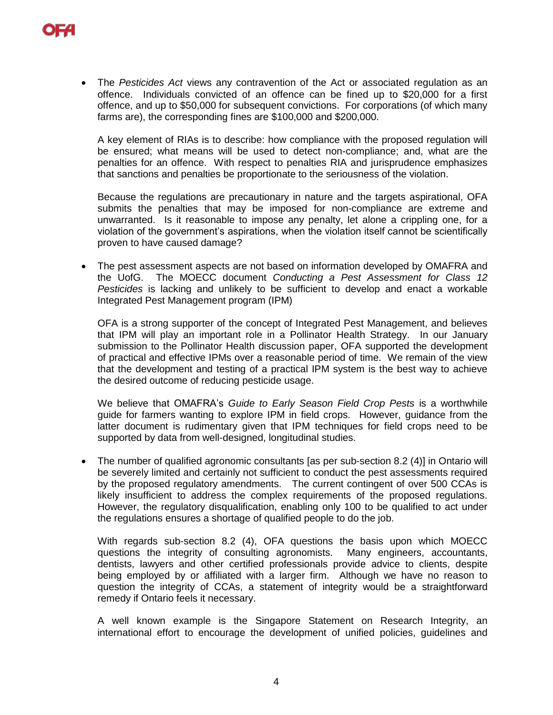

 The *Pesticides Act* views any contravention of the Act or associated regulation as an offence. Individuals convicted of an offence can be fined up to \$20,000 for a first offence, and up to \$50,000 for subsequent convictions. For corporations (of which many farms are), the corresponding fines are \$100,000 and \$200,000.

A key element of RIAs is to describe: how compliance with the proposed regulation will be ensured; what means will be used to detect non-compliance; and, what are the penalties for an offence. With respect to penalties RIA and jurisprudence emphasizes that sanctions and penalties be proportionate to the seriousness of the violation.

Because the regulations are precautionary in nature and the targets aspirational, OFA submits the penalties that may be imposed for non-compliance are extreme and unwarranted. Is it reasonable to impose any penalty, let alone a crippling one, for a violation of the government's aspirations, when the violation itself cannot be scientifically proven to have caused damage?

• The pest assessment aspects are not based on information developed by OMAFRA and the UofG. The MOECC document *Conducting a Pest Assessment for Class 12 Pesticides* is lacking and unlikely to be sufficient to develop and enact a workable Integrated Pest Management program (IPM)

OFA is a strong supporter of the concept of Integrated Pest Management, and believes that IPM will play an important role in a Pollinator Health Strategy. In our January submission to the Pollinator Health discussion paper, OFA supported the development of practical and effective IPMs over a reasonable period of time. We remain of the view that the development and testing of a practical IPM system is the best way to achieve the desired outcome of reducing pesticide usage.

We believe that OMAFRA's *Guide to Early Season Field Crop Pests* is a worthwhile guide for farmers wanting to explore IPM in field crops. However, guidance from the latter document is rudimentary given that IPM techniques for field crops need to be supported by data from well-designed, longitudinal studies.

 The number of qualified agronomic consultants [as per sub-section 8.2 (4)] in Ontario will be severely limited and certainly not sufficient to conduct the pest assessments required by the proposed regulatory amendments. The current contingent of over 500 CCAs is likely insufficient to address the complex requirements of the proposed regulations. However, the regulatory disqualification, enabling only 100 to be qualified to act under the regulations ensures a shortage of qualified people to do the job.

With regards sub-section 8.2 (4), OFA questions the basis upon which MOECC questions the integrity of consulting agronomists. Many engineers, accountants, dentists, lawyers and other certified professionals provide advice to clients, despite being employed by or affiliated with a larger firm. Although we have no reason to question the integrity of CCAs, a statement of integrity would be a straightforward remedy if Ontario feels it necessary.

A well known example is the Singapore Statement on Research Integrity, an international effort to encourage the development of unified policies, guidelines and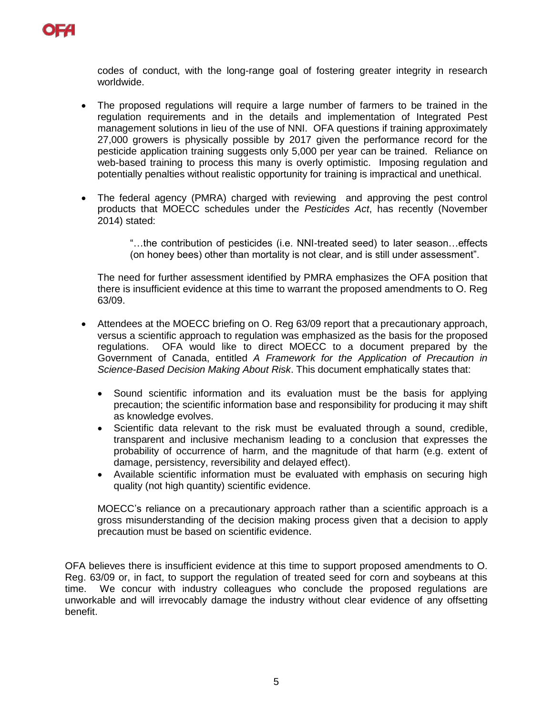

codes of conduct, with the long-range goal of fostering greater integrity in research worldwide.

- The proposed regulations will require a large number of farmers to be trained in the regulation requirements and in the details and implementation of Integrated Pest management solutions in lieu of the use of NNI. OFA questions if training approximately 27,000 growers is physically possible by 2017 given the performance record for the pesticide application training suggests only 5,000 per year can be trained. Reliance on web-based training to process this many is overly optimistic. Imposing regulation and potentially penalties without realistic opportunity for training is impractical and unethical.
- The federal agency (PMRA) charged with reviewing and approving the pest control products that MOECC schedules under the *Pesticides Act*, has recently (November 2014) stated:

"…the contribution of pesticides (i.e. NNI-treated seed) to later season…effects (on honey bees) other than mortality is not clear, and is still under assessment".

The need for further assessment identified by PMRA emphasizes the OFA position that there is insufficient evidence at this time to warrant the proposed amendments to O. Reg 63/09.

- Attendees at the MOECC briefing on O. Reg 63/09 report that a precautionary approach, versus a scientific approach to regulation was emphasized as the basis for the proposed regulations. OFA would like to direct MOECC to a document prepared by the Government of Canada, entitled *A Framework for the Application of Precaution in Science-Based Decision Making About Risk*. This document emphatically states that:
	- Sound scientific information and its evaluation must be the basis for applying precaution; the scientific information base and responsibility for producing it may shift as knowledge evolves.
	- Scientific data relevant to the risk must be evaluated through a sound, credible, transparent and inclusive mechanism leading to a conclusion that expresses the probability of occurrence of harm, and the magnitude of that harm (e.g. extent of damage, persistency, reversibility and delayed effect).
	- Available scientific information must be evaluated with emphasis on securing high quality (not high quantity) scientific evidence.

MOECC's reliance on a precautionary approach rather than a scientific approach is a gross misunderstanding of the decision making process given that a decision to apply precaution must be based on scientific evidence.

OFA believes there is insufficient evidence at this time to support proposed amendments to O. Reg. 63/09 or, in fact, to support the regulation of treated seed for corn and soybeans at this time. We concur with industry colleagues who conclude the proposed regulations are unworkable and will irrevocably damage the industry without clear evidence of any offsetting benefit.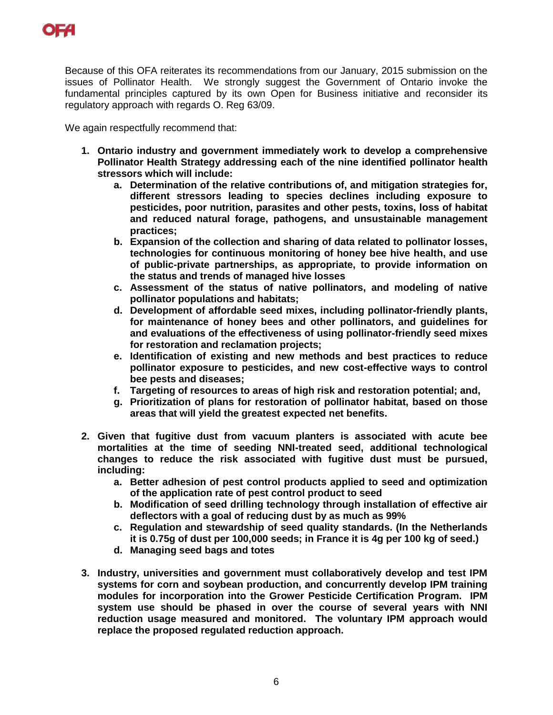

Because of this OFA reiterates its recommendations from our January, 2015 submission on the issues of Pollinator Health. We strongly suggest the Government of Ontario invoke the fundamental principles captured by its own Open for Business initiative and reconsider its regulatory approach with regards O. Reg 63/09.

We again respectfully recommend that:

- **1. Ontario industry and government immediately work to develop a comprehensive Pollinator Health Strategy addressing each of the nine identified pollinator health stressors which will include:**
	- **a. Determination of the relative contributions of, and mitigation strategies for, different stressors leading to species declines including exposure to pesticides, poor nutrition, parasites and other pests, toxins, loss of habitat and reduced natural forage, pathogens, and unsustainable management practices;**
	- **b. Expansion of the collection and sharing of data related to pollinator losses, technologies for continuous monitoring of honey bee hive health, and use of public-private partnerships, as appropriate, to provide information on the status and trends of managed hive losses**
	- **c. Assessment of the status of native pollinators, and modeling of native pollinator populations and habitats;**
	- **d. Development of affordable seed mixes, including pollinator-friendly plants, for maintenance of honey bees and other pollinators, and guidelines for and evaluations of the effectiveness of using pollinator-friendly seed mixes for restoration and reclamation projects;**
	- **e. Identification of existing and new methods and best practices to reduce pollinator exposure to pesticides, and new cost-effective ways to control bee pests and diseases;**
	- **f. Targeting of resources to areas of high risk and restoration potential; and,**
	- **g. Prioritization of plans for restoration of pollinator habitat, based on those areas that will yield the greatest expected net benefits.**
- **2. Given that fugitive dust from vacuum planters is associated with acute bee mortalities at the time of seeding NNI-treated seed, additional technological changes to reduce the risk associated with fugitive dust must be pursued, including:** 
	- **a. Better adhesion of pest control products applied to seed and optimization of the application rate of pest control product to seed**
	- **b. Modification of seed drilling technology through installation of effective air deflectors with a goal of reducing dust by as much as 99%**
	- **c. Regulation and stewardship of seed quality standards. (In the Netherlands it is 0.75g of dust per 100,000 seeds; in France it is 4g per 100 kg of seed.)**
	- **d. Managing seed bags and totes**
- **3. Industry, universities and government must collaboratively develop and test IPM systems for corn and soybean production, and concurrently develop IPM training modules for incorporation into the Grower Pesticide Certification Program. IPM system use should be phased in over the course of several years with NNI reduction usage measured and monitored. The voluntary IPM approach would replace the proposed regulated reduction approach.**